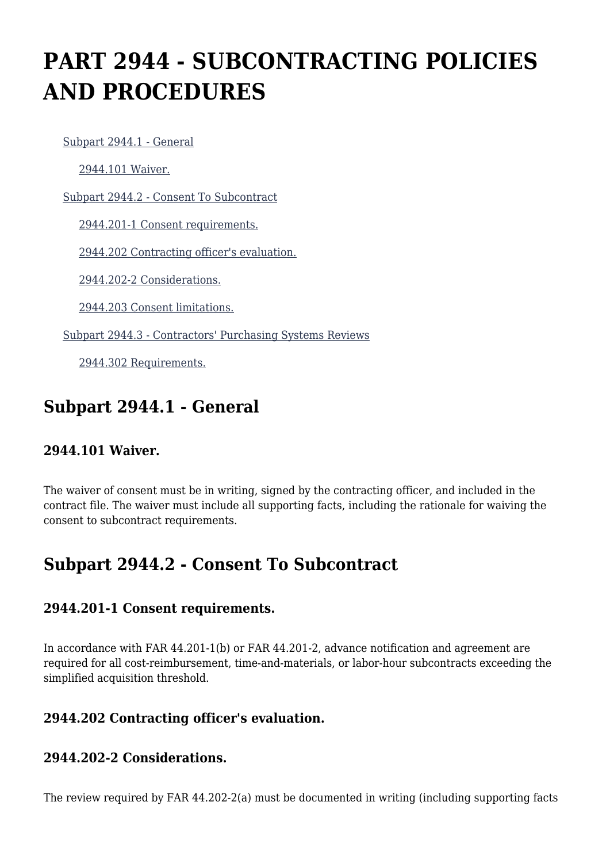# **PART 2944 - SUBCONTRACTING POLICIES AND PROCEDURES**

[Subpart 2944.1 - General](https://www.acquisition.gov/%5Brp:link:dolar-part-2944%5D#Subpart_2944_1_T48_7016371)

[2944.101 Waiver.](https://www.acquisition.gov/%5Brp:link:dolar-part-2944%5D#Section_2944_101_T48_701637111)

[Subpart 2944.2 - Consent To Subcontract](https://www.acquisition.gov/%5Brp:link:dolar-part-2944%5D#Subpart_2944_2_T48_7016372)

[2944.201-1 Consent requirements.](https://www.acquisition.gov/%5Brp:link:dolar-part-2944%5D#Section_2944_201_1_T48_701637211)

[2944.202 Contracting officer's evaluation.](https://www.acquisition.gov/%5Brp:link:dolar-part-2944%5D#Section_2944_202_T48_701637212)

[2944.202-2 Considerations.](https://www.acquisition.gov/%5Brp:link:dolar-part-2944%5D#Section_2944_202_2_T48_701637213)

[2944.203 Consent limitations.](https://www.acquisition.gov/%5Brp:link:dolar-part-2944%5D#Section_2944_203_T48_701637214)

[Subpart 2944.3 - Contractors' Purchasing Systems Reviews](https://www.acquisition.gov/%5Brp:link:dolar-part-2944%5D#Subpart_2944_3_T48_7016373)

[2944.302 Requirements.](https://www.acquisition.gov/%5Brp:link:dolar-part-2944%5D#Section_2944_302_T48_701637311)

## **Subpart 2944.1 - General**

#### **2944.101 Waiver.**

The waiver of consent must be in writing, signed by the contracting officer, and included in the contract file. The waiver must include all supporting facts, including the rationale for waiving the consent to subcontract requirements.

## **Subpart 2944.2 - Consent To Subcontract**

#### **2944.201-1 Consent requirements.**

In accordance with FAR 44.201-1(b) or FAR 44.201-2, advance notification and agreement are required for all cost-reimbursement, time-and-materials, or labor-hour subcontracts exceeding the simplified acquisition threshold.

#### **2944.202 Contracting officer's evaluation.**

### **2944.202-2 Considerations.**

The review required by FAR 44.202-2(a) must be documented in writing (including supporting facts